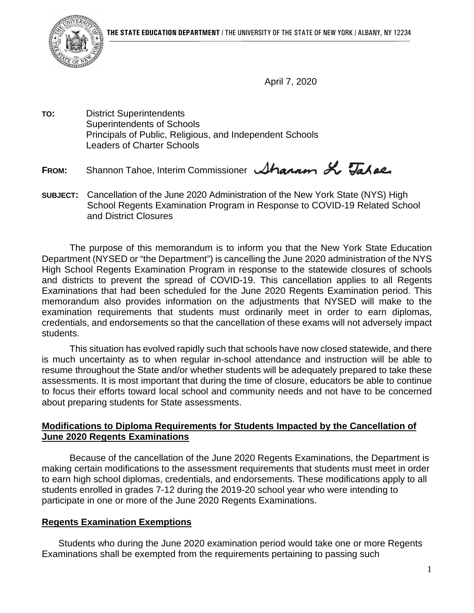

April 7, 2020

**TO:** District Superintendents Superintendents of Schools Principals of Public, Religious, and Independent Schools Leaders of Charter Schools

FROM: Shannon Tahoe, Interim Commissioner *Shannon* X Tahae.

**SUBJECT:** Cancellation of the June 2020 Administration of the New York State (NYS) High School Regents Examination Program in Response to COVID-19 Related School and District Closures

The purpose of this memorandum is to inform you that the New York State Education Department (NYSED or "the Department") is cancelling the June 2020 administration of the NYS High School Regents Examination Program in response to the statewide closures of schools and districts to prevent the spread of COVID-19. This cancellation applies to all Regents Examinations that had been scheduled for the June 2020 Regents Examination period. This memorandum also provides information on the adjustments that NYSED will make to the examination requirements that students must ordinarily meet in order to earn diplomas, credentials, and endorsements so that the cancellation of these exams will not adversely impact students.

This situation has evolved rapidly such that schools have now closed statewide, and there is much uncertainty as to when regular in-school attendance and instruction will be able to resume throughout the State and/or whether students will be adequately prepared to take these assessments. It is most important that during the time of closure, educators be able to continue to focus their efforts toward local school and community needs and not have to be concerned about preparing students for State assessments.

## **Modifications to Diploma Requirements for Students Impacted by the Cancellation of June 2020 Regents Examinations**

Because of the cancellation of the June 2020 Regents Examinations, the Department is making certain modifications to the assessment requirements that students must meet in order to earn high school diplomas, credentials, and endorsements. These modifications apply to all students enrolled in grades 7-12 during the 2019-20 school year who were intending to participate in one or more of the June 2020 Regents Examinations.

# **Regents Examination Exemptions**

Students who during the June 2020 examination period would take one or more Regents Examinations shall be exempted from the requirements pertaining to passing such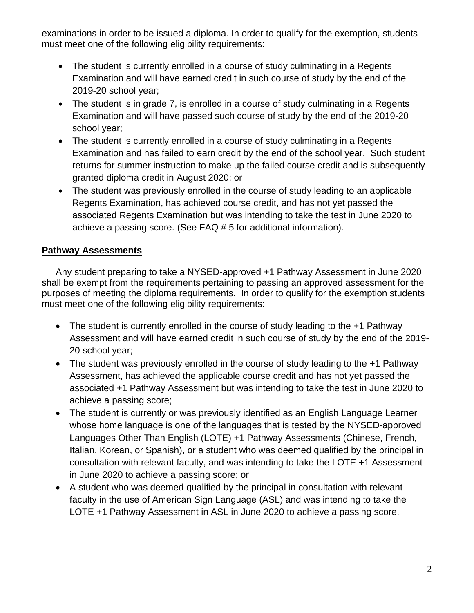examinations in order to be issued a diploma. In order to qualify for the exemption, students must meet one of the following eligibility requirements:

- The student is currently enrolled in a course of study culminating in a Regents Examination and will have earned credit in such course of study by the end of the 2019-20 school year;
- The student is in grade 7, is enrolled in a course of study culminating in a Regents Examination and will have passed such course of study by the end of the 2019-20 school year;
- The student is currently enrolled in a course of study culminating in a Regents Examination and has failed to earn credit by the end of the school year. Such student returns for summer instruction to make up the failed course credit and is subsequently granted diploma credit in August 2020; or
- The student was previously enrolled in the course of study leading to an applicable Regents Examination, has achieved course credit, and has not yet passed the associated Regents Examination but was intending to take the test in June 2020 to achieve a passing score. (See FAQ # 5 for additional information).

# **Pathway Assessments**

Any student preparing to take a NYSED-approved +1 Pathway Assessment in June 2020 shall be exempt from the requirements pertaining to passing an approved assessment for the purposes of meeting the diploma requirements. In order to qualify for the exemption students must meet one of the following eligibility requirements:

- The student is currently enrolled in the course of study leading to the +1 Pathway Assessment and will have earned credit in such course of study by the end of the 2019- 20 school year;
- The student was previously enrolled in the course of study leading to the +1 Pathway Assessment, has achieved the applicable course credit and has not yet passed the associated +1 Pathway Assessment but was intending to take the test in June 2020 to achieve a passing score;
- The student is currently or was previously identified as an English Language Learner whose home language is one of the languages that is tested by the NYSED-approved Languages Other Than English (LOTE) +1 Pathway Assessments (Chinese, French, Italian, Korean, or Spanish), or a student who was deemed qualified by the principal in consultation with relevant faculty, and was intending to take the LOTE +1 Assessment in June 2020 to achieve a passing score; or
- A student who was deemed qualified by the principal in consultation with relevant faculty in the use of American Sign Language (ASL) and was intending to take the LOTE +1 Pathway Assessment in ASL in June 2020 to achieve a passing score.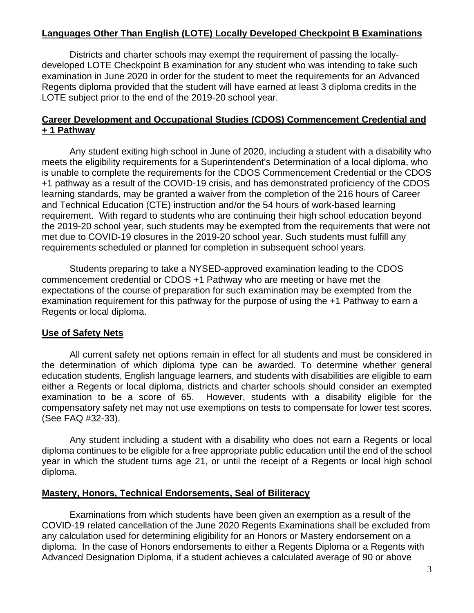# **Languages Other Than English (LOTE) Locally Developed Checkpoint B Examinations**

Districts and charter schools may exempt the requirement of passing the locallydeveloped LOTE Checkpoint B examination for any student who was intending to take such examination in June 2020 in order for the student to meet the requirements for an Advanced Regents diploma provided that the student will have earned at least 3 diploma credits in the LOTE subject prior to the end of the 2019-20 school year.

## **Career Development and Occupational Studies (CDOS) Commencement Credential and + 1 Pathway**

Any student exiting high school in June of 2020, including a student with a disability who meets the eligibility requirements for a Superintendent's Determination of a local diploma, who is unable to complete the requirements for the CDOS Commencement Credential or the CDOS +1 pathway as a result of the COVID-19 crisis, and has demonstrated proficiency of the CDOS learning standards, may be granted a waiver from the completion of the 216 hours of Career and Technical Education (CTE) instruction and/or the 54 hours of work-based learning requirement. With regard to students who are continuing their high school education beyond the 2019-20 school year, such students may be exempted from the requirements that were not met due to COVID-19 closures in the 2019-20 school year. Such students must fulfill any requirements scheduled or planned for completion in subsequent school years.

Students preparing to take a NYSED-approved examination leading to the CDOS commencement credential or CDOS +1 Pathway who are meeting or have met the expectations of the course of preparation for such examination may be exempted from the examination requirement for this pathway for the purpose of using the +1 Pathway to earn a Regents or local diploma.

### **Use of Safety Nets**

All current [safety net options](http://www.p12.nysed.gov/specialed/gradrequirements/documents/safety-net-options-available-students-with-disabilities.pdf) remain in effect for all students and must be considered in the determination of which diploma type can be awarded. To determine whether general education students, English language learners, and students with disabilities are eligible to earn either a Regents or local diploma, districts and charter schools should consider an exempted examination to be a score of 65. However, students with a disability eligible for the compensatory safety net may not use exemptions on tests to compensate for lower test scores. (See FAQ #32-33).

Any student including a student with a disability who does not earn a Regents or local diploma continues to be eligible for a free appropriate public education until the end of the school year in which the student turns age 21, or until the receipt of a Regents or local high school diploma.

### **Mastery, Honors, Technical Endorsements, Seal of Biliteracy**

Examinations from which students have been given an exemption as a result of the COVID-19 related cancellation of the June 2020 Regents Examinations shall be excluded from any calculation used for determining eligibility for an Honors or Mastery endorsement on a diploma. In the case of Honors endorsements to either a Regents Diploma or a Regents with Advanced Designation Diploma, if a student achieves a calculated average of 90 or above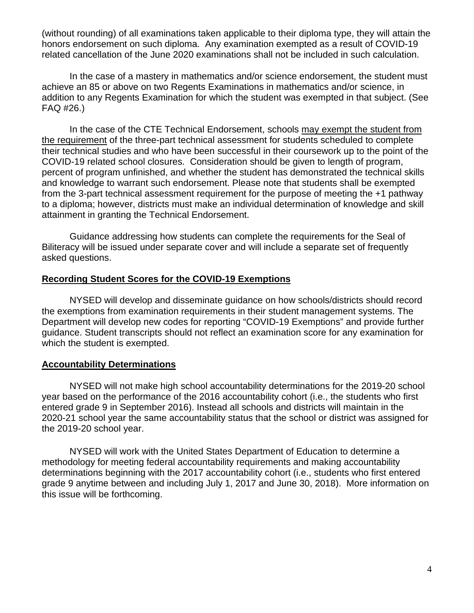(without rounding) of all examinations taken applicable to their diploma type, they will attain the honors endorsement on such diploma. Any examination exempted as a result of COVID-19 related cancellation of the June 2020 examinations shall not be included in such calculation.

In the case of a mastery in mathematics and/or science endorsement, the student must achieve an 85 or above on two Regents Examinations in mathematics and/or science, in addition to any Regents Examination for which the student was exempted in that subject. (See FAQ #26.)

In the case of the CTE Technical Endorsement, schools may exempt the student from the requirement of the three-part technical assessment for students scheduled to complete their technical studies and who have been successful in their coursework up to the point of the COVID-19 related school closures. Consideration should be given to length of program, percent of program unfinished, and whether the student has demonstrated the technical skills and knowledge to warrant such endorsement. Please note that students shall be exempted from the 3-part technical assessment requirement for the purpose of meeting the +1 pathway to a diploma; however, districts must make an individual determination of knowledge and skill attainment in granting the Technical Endorsement.

Guidance addressing how students can complete the requirements for the Seal of Biliteracy will be issued under separate cover and will include a separate set of frequently asked questions.

#### **Recording Student Scores for the COVID-19 Exemptions**

NYSED will develop and disseminate guidance on how schools/districts should record the exemptions from examination requirements in their student management systems. The Department will develop new codes for reporting "COVID-19 Exemptions" and provide further guidance. Student transcripts should not reflect an examination score for any examination for which the student is exempted.

#### **Accountability Determinations**

NYSED will not make high school accountability determinations for the 2019-20 school year based on the performance of the 2016 accountability cohort (i.e., the students who first entered grade 9 in September 2016). Instead all schools and districts will maintain in the 2020-21 school year the same accountability status that the school or district was assigned for the 2019-20 school year.

NYSED will work with the United States Department of Education to determine a methodology for meeting federal accountability requirements and making accountability determinations beginning with the 2017 accountability cohort (i.e., students who first entered grade 9 anytime between and including July 1, 2017 and June 30, 2018). More information on this issue will be forthcoming.